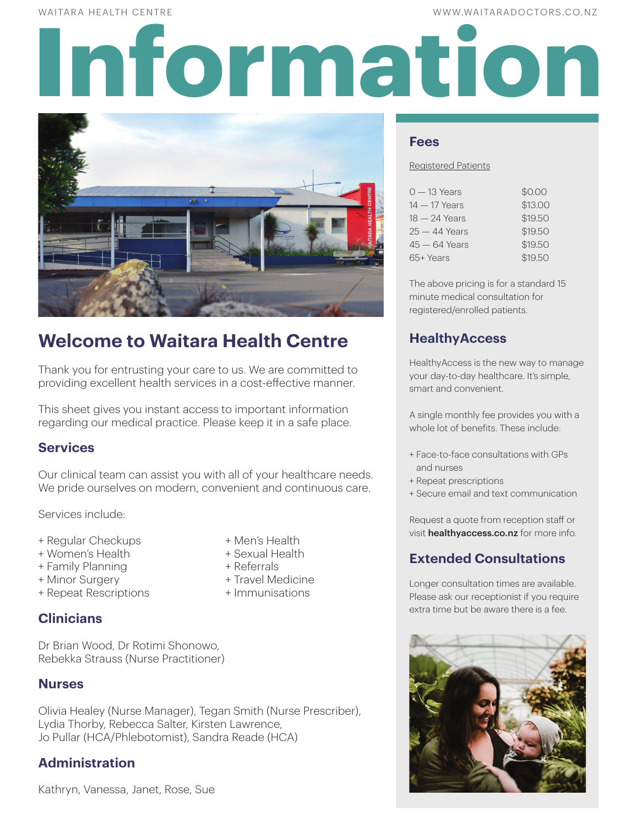WAITARA HEALTH CENTRE WWW.WAITARADOCTORS.CO.NZ

# **Information**



# **Welcome to Waitara Health Centre**

Thank you for entrusting your care to us. We are committed to providing excellent health services in a cost-effective manner.

This sheet gives you instant access to important information regarding our medical practice. Please keep it in a safe place.

# **Services**

Our clinical team can assist you with all of your healthcare needs. We pride ourselves on modern, convenient and continuous care.

Services include:

- + Regular Checkups + Men's Health
- + Women's Health + Sexual Health
- + Family Planning + Referrals
- 
- + Repeat Rescriptions + Immunisations
	-
- 
- 
- 
- + Minor Surgery + Travel Medicine
	-

# **Clinicians**

Dr Brian Wood, Dr Rotimi Shonowo, Rebekka Strauss (Nurse Practitioner)

# **Nurses**

Olivia Healey (Nurse Manager), Tegan Smith (Nurse Prescriber), Lydia Thorby, Rebecca Salter, Kirsten Lawrence, Jo Pullar (HCA/Phlebotomist), Sandra Reade (HCA)

# **Administration**

Kathryn, Vanessa, Janet, Rose, Sue

**Fees**

#### Registered Patients

| $0 - 13$ Years  | \$0.00  |
|-----------------|---------|
| $14 - 17$ Years | \$13.00 |
| $18 - 24$ Years | \$19.50 |
| $25 - 44$ Years | \$19.50 |
| $45 - 64$ Years | \$19.50 |
| 65+ Years       | \$19.50 |

The above pricing is for a standard 15 minute medical consultation for registered/enrolled patients.

# **HealthyAccess**

HealthyAccess is the new way to manage your day-to-day healthcare. It's simple, smart and convenient.

A single monthly fee provides you with a whole lot of benefits. These include:

- + Face-to-face consultations with GPs and nurses
- + Repeat prescriptions
- + Secure email and text communication

Request a quote from reception staff or visit healthyaccess.co.nz for more info.

# **Extended Consultations**

Longer consultation times are available. Please ask our receptionist if you require extra time but be aware there is a fee.